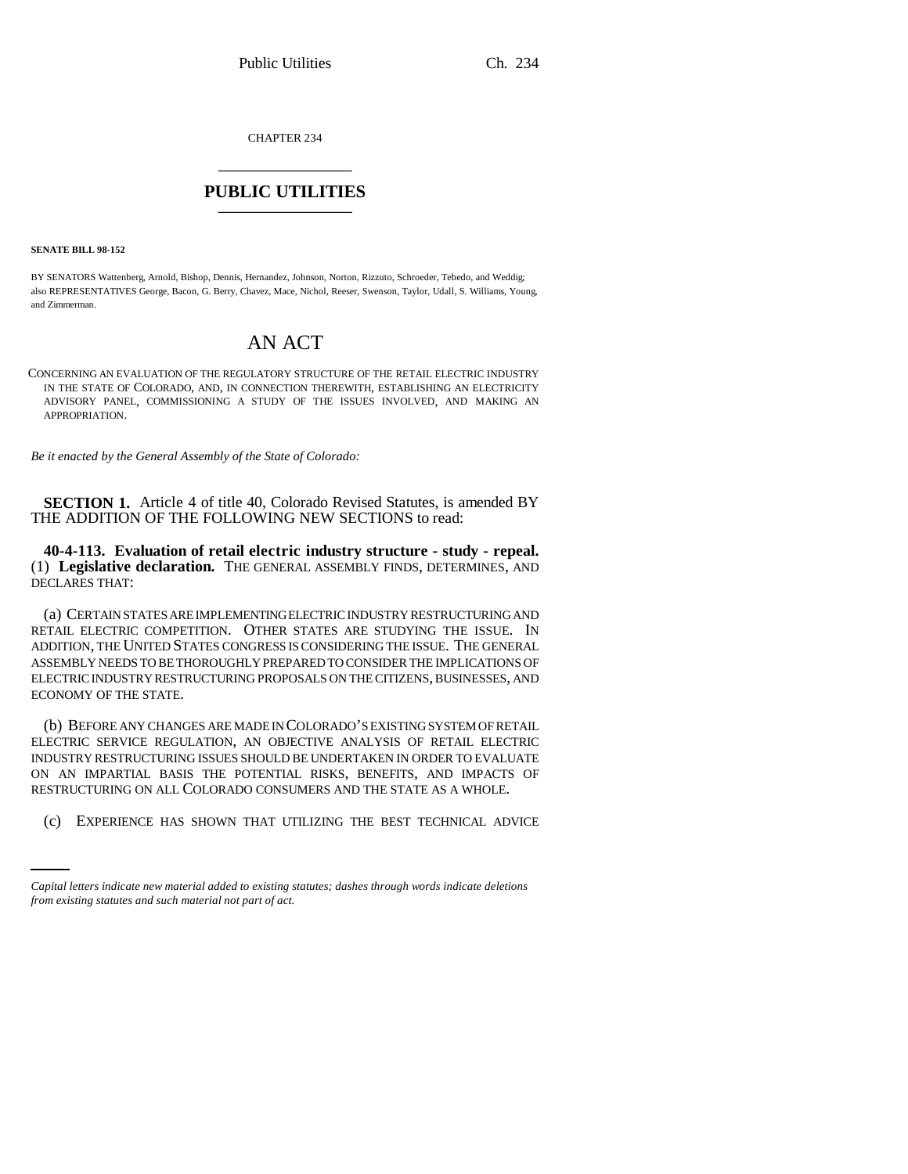CHAPTER 234 \_\_\_\_\_\_\_\_\_\_\_\_\_\_\_

## **PUBLIC UTILITIES** \_\_\_\_\_\_\_\_\_\_\_\_\_\_\_

**SENATE BILL 98-152**

BY SENATORS Wattenberg, Arnold, Bishop, Dennis, Hernandez, Johnson, Norton, Rizzuto, Schroeder, Tebedo, and Weddig; also REPRESENTATIVES George, Bacon, G. Berry, Chavez, Mace, Nichol, Reeser, Swenson, Taylor, Udall, S. Williams, Young, and Zimmerman.

## AN ACT

CONCERNING AN EVALUATION OF THE REGULATORY STRUCTURE OF THE RETAIL ELECTRIC INDUSTRY IN THE STATE OF COLORADO, AND, IN CONNECTION THEREWITH, ESTABLISHING AN ELECTRICITY ADVISORY PANEL, COMMISSIONING A STUDY OF THE ISSUES INVOLVED, AND MAKING AN APPROPRIATION.

*Be it enacted by the General Assembly of the State of Colorado:*

**SECTION 1.** Article 4 of title 40, Colorado Revised Statutes, is amended BY THE ADDITION OF THE FOLLOWING NEW SECTIONS to read:

**40-4-113. Evaluation of retail electric industry structure - study - repeal.** (1) **Legislative declaration.** THE GENERAL ASSEMBLY FINDS, DETERMINES, AND DECLARES THAT:

(a) CERTAIN STATES ARE IMPLEMENTING ELECTRIC INDUSTRY RESTRUCTURING AND RETAIL ELECTRIC COMPETITION. OTHER STATES ARE STUDYING THE ISSUE. IN ADDITION, THE UNITED STATES CONGRESS IS CONSIDERING THE ISSUE. THE GENERAL ASSEMBLY NEEDS TO BE THOROUGHLY PREPARED TO CONSIDER THE IMPLICATIONS OF ELECTRIC INDUSTRY RESTRUCTURING PROPOSALS ON THE CITIZENS, BUSINESSES, AND ECONOMY OF THE STATE.

RESTRUCTURING ON ALL COLORADO CONSUMERS AND THE STATE AS A WHOLE. (b) BEFORE ANY CHANGES ARE MADE IN COLORADO'S EXISTING SYSTEM OF RETAIL ELECTRIC SERVICE REGULATION, AN OBJECTIVE ANALYSIS OF RETAIL ELECTRIC INDUSTRY RESTRUCTURING ISSUES SHOULD BE UNDERTAKEN IN ORDER TO EVALUATE ON AN IMPARTIAL BASIS THE POTENTIAL RISKS, BENEFITS, AND IMPACTS OF

(c) EXPERIENCE HAS SHOWN THAT UTILIZING THE BEST TECHNICAL ADVICE

*Capital letters indicate new material added to existing statutes; dashes through words indicate deletions from existing statutes and such material not part of act.*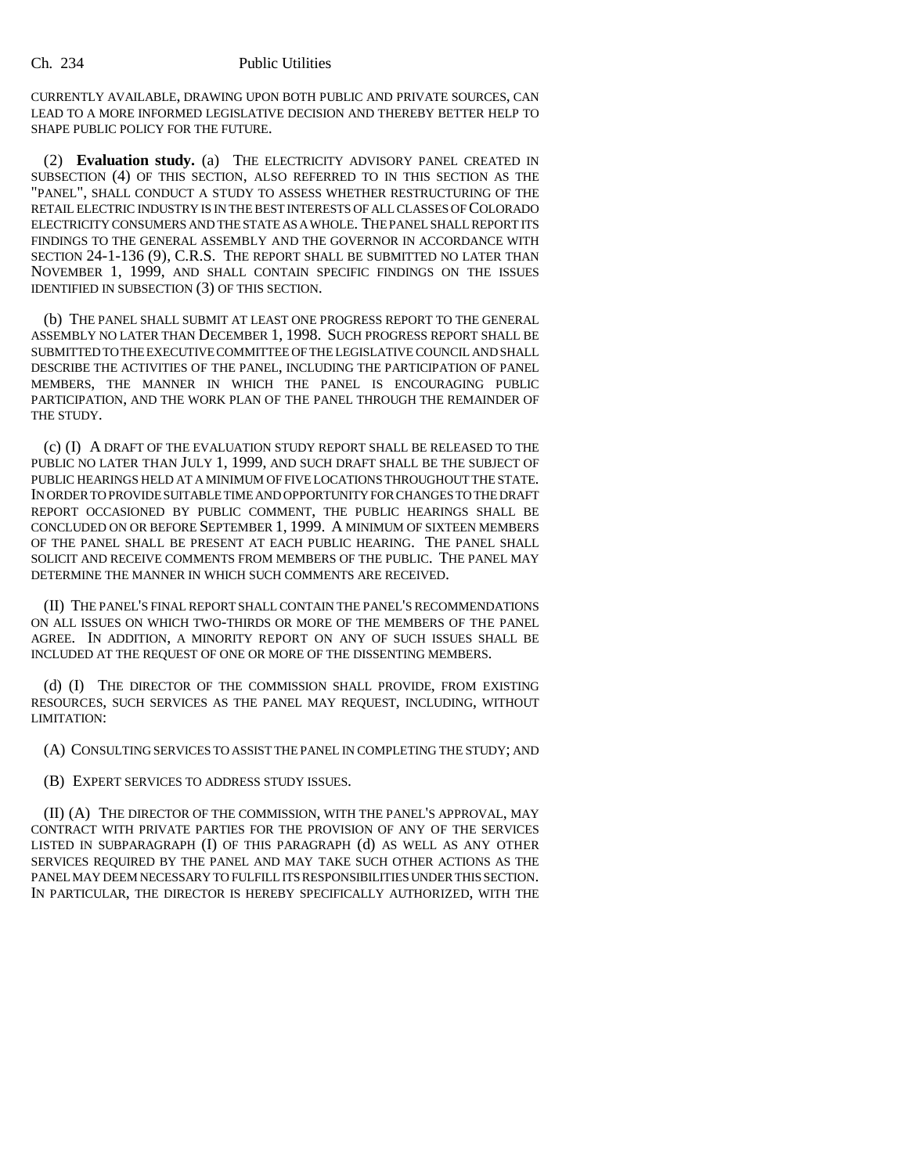CURRENTLY AVAILABLE, DRAWING UPON BOTH PUBLIC AND PRIVATE SOURCES, CAN LEAD TO A MORE INFORMED LEGISLATIVE DECISION AND THEREBY BETTER HELP TO SHAPE PUBLIC POLICY FOR THE FUTURE.

(2) **Evaluation study.** (a) THE ELECTRICITY ADVISORY PANEL CREATED IN SUBSECTION (4) OF THIS SECTION, ALSO REFERRED TO IN THIS SECTION AS THE "PANEL", SHALL CONDUCT A STUDY TO ASSESS WHETHER RESTRUCTURING OF THE RETAIL ELECTRIC INDUSTRY IS IN THE BEST INTERESTS OF ALL CLASSES OF COLORADO ELECTRICITY CONSUMERS AND THE STATE AS A WHOLE. THE PANEL SHALL REPORT ITS FINDINGS TO THE GENERAL ASSEMBLY AND THE GOVERNOR IN ACCORDANCE WITH SECTION 24-1-136 (9), C.R.S. THE REPORT SHALL BE SUBMITTED NO LATER THAN NOVEMBER 1, 1999, AND SHALL CONTAIN SPECIFIC FINDINGS ON THE ISSUES IDENTIFIED IN SUBSECTION (3) OF THIS SECTION.

(b) THE PANEL SHALL SUBMIT AT LEAST ONE PROGRESS REPORT TO THE GENERAL ASSEMBLY NO LATER THAN DECEMBER 1, 1998. SUCH PROGRESS REPORT SHALL BE SUBMITTED TO THE EXECUTIVE COMMITTEE OF THE LEGISLATIVE COUNCIL AND SHALL DESCRIBE THE ACTIVITIES OF THE PANEL, INCLUDING THE PARTICIPATION OF PANEL MEMBERS, THE MANNER IN WHICH THE PANEL IS ENCOURAGING PUBLIC PARTICIPATION, AND THE WORK PLAN OF THE PANEL THROUGH THE REMAINDER OF THE STUDY.

(c) (I) A DRAFT OF THE EVALUATION STUDY REPORT SHALL BE RELEASED TO THE PUBLIC NO LATER THAN JULY 1, 1999, AND SUCH DRAFT SHALL BE THE SUBJECT OF PUBLIC HEARINGS HELD AT A MINIMUM OF FIVE LOCATIONS THROUGHOUT THE STATE. IN ORDER TO PROVIDE SUITABLE TIME AND OPPORTUNITY FOR CHANGES TO THE DRAFT REPORT OCCASIONED BY PUBLIC COMMENT, THE PUBLIC HEARINGS SHALL BE CONCLUDED ON OR BEFORE SEPTEMBER 1, 1999. A MINIMUM OF SIXTEEN MEMBERS OF THE PANEL SHALL BE PRESENT AT EACH PUBLIC HEARING. THE PANEL SHALL SOLICIT AND RECEIVE COMMENTS FROM MEMBERS OF THE PUBLIC. THE PANEL MAY DETERMINE THE MANNER IN WHICH SUCH COMMENTS ARE RECEIVED.

(II) THE PANEL'S FINAL REPORT SHALL CONTAIN THE PANEL'S RECOMMENDATIONS ON ALL ISSUES ON WHICH TWO-THIRDS OR MORE OF THE MEMBERS OF THE PANEL AGREE. IN ADDITION, A MINORITY REPORT ON ANY OF SUCH ISSUES SHALL BE INCLUDED AT THE REQUEST OF ONE OR MORE OF THE DISSENTING MEMBERS.

(d) (I) THE DIRECTOR OF THE COMMISSION SHALL PROVIDE, FROM EXISTING RESOURCES, SUCH SERVICES AS THE PANEL MAY REQUEST, INCLUDING, WITHOUT LIMITATION:

(A) CONSULTING SERVICES TO ASSIST THE PANEL IN COMPLETING THE STUDY; AND

(B) EXPERT SERVICES TO ADDRESS STUDY ISSUES.

(II) (A) THE DIRECTOR OF THE COMMISSION, WITH THE PANEL'S APPROVAL, MAY CONTRACT WITH PRIVATE PARTIES FOR THE PROVISION OF ANY OF THE SERVICES LISTED IN SUBPARAGRAPH (I) OF THIS PARAGRAPH (d) AS WELL AS ANY OTHER SERVICES REQUIRED BY THE PANEL AND MAY TAKE SUCH OTHER ACTIONS AS THE PANEL MAY DEEM NECESSARY TO FULFILL ITS RESPONSIBILITIES UNDER THIS SECTION. IN PARTICULAR, THE DIRECTOR IS HEREBY SPECIFICALLY AUTHORIZED, WITH THE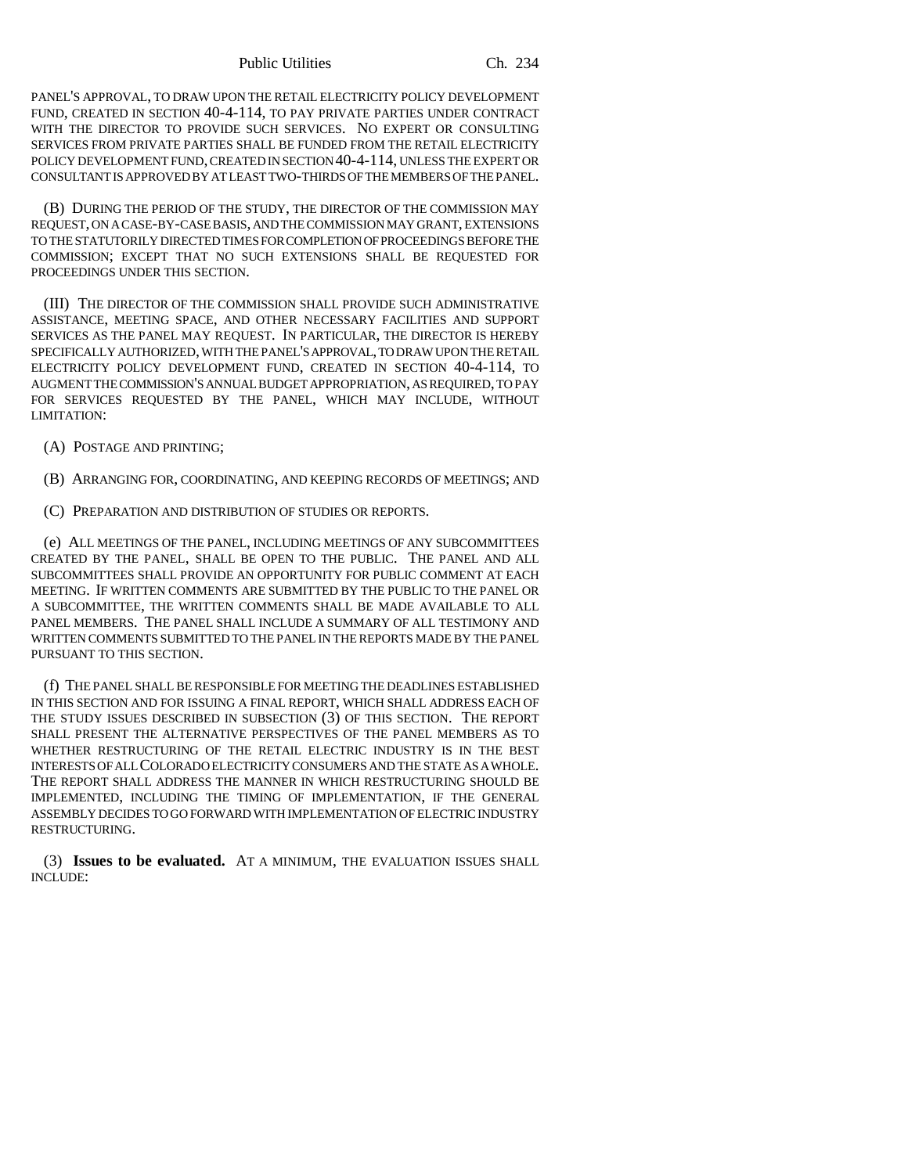Public Utilities Ch. 234

PANEL'S APPROVAL, TO DRAW UPON THE RETAIL ELECTRICITY POLICY DEVELOPMENT FUND, CREATED IN SECTION 40-4-114, TO PAY PRIVATE PARTIES UNDER CONTRACT WITH THE DIRECTOR TO PROVIDE SUCH SERVICES. NO EXPERT OR CONSULTING SERVICES FROM PRIVATE PARTIES SHALL BE FUNDED FROM THE RETAIL ELECTRICITY POLICY DEVELOPMENT FUND, CREATED IN SECTION 40-4-114, UNLESS THE EXPERT OR CONSULTANT IS APPROVED BY AT LEAST TWO-THIRDS OF THE MEMBERS OF THE PANEL.

(B) DURING THE PERIOD OF THE STUDY, THE DIRECTOR OF THE COMMISSION MAY REQUEST, ON A CASE-BY-CASE BASIS, AND THE COMMISSION MAY GRANT, EXTENSIONS TO THE STATUTORILY DIRECTED TIMES FOR COMPLETION OF PROCEEDINGS BEFORE THE COMMISSION; EXCEPT THAT NO SUCH EXTENSIONS SHALL BE REQUESTED FOR PROCEEDINGS UNDER THIS SECTION.

(III) THE DIRECTOR OF THE COMMISSION SHALL PROVIDE SUCH ADMINISTRATIVE ASSISTANCE, MEETING SPACE, AND OTHER NECESSARY FACILITIES AND SUPPORT SERVICES AS THE PANEL MAY REQUEST. IN PARTICULAR, THE DIRECTOR IS HEREBY SPECIFICALLY AUTHORIZED, WITH THE PANEL'S APPROVAL, TO DRAW UPON THE RETAIL ELECTRICITY POLICY DEVELOPMENT FUND, CREATED IN SECTION 40-4-114, TO AUGMENT THE COMMISSION'S ANNUAL BUDGET APPROPRIATION, AS REQUIRED, TO PAY FOR SERVICES REQUESTED BY THE PANEL, WHICH MAY INCLUDE, WITHOUT LIMITATION:

(A) POSTAGE AND PRINTING;

(B) ARRANGING FOR, COORDINATING, AND KEEPING RECORDS OF MEETINGS; AND

(C) PREPARATION AND DISTRIBUTION OF STUDIES OR REPORTS.

(e) ALL MEETINGS OF THE PANEL, INCLUDING MEETINGS OF ANY SUBCOMMITTEES CREATED BY THE PANEL, SHALL BE OPEN TO THE PUBLIC. THE PANEL AND ALL SUBCOMMITTEES SHALL PROVIDE AN OPPORTUNITY FOR PUBLIC COMMENT AT EACH MEETING. IF WRITTEN COMMENTS ARE SUBMITTED BY THE PUBLIC TO THE PANEL OR A SUBCOMMITTEE, THE WRITTEN COMMENTS SHALL BE MADE AVAILABLE TO ALL PANEL MEMBERS. THE PANEL SHALL INCLUDE A SUMMARY OF ALL TESTIMONY AND WRITTEN COMMENTS SUBMITTED TO THE PANEL IN THE REPORTS MADE BY THE PANEL PURSUANT TO THIS SECTION.

(f) THE PANEL SHALL BE RESPONSIBLE FOR MEETING THE DEADLINES ESTABLISHED IN THIS SECTION AND FOR ISSUING A FINAL REPORT, WHICH SHALL ADDRESS EACH OF THE STUDY ISSUES DESCRIBED IN SUBSECTION (3) OF THIS SECTION. THE REPORT SHALL PRESENT THE ALTERNATIVE PERSPECTIVES OF THE PANEL MEMBERS AS TO WHETHER RESTRUCTURING OF THE RETAIL ELECTRIC INDUSTRY IS IN THE BEST INTERESTS OF ALL COLORADO ELECTRICITY CONSUMERS AND THE STATE AS A WHOLE. THE REPORT SHALL ADDRESS THE MANNER IN WHICH RESTRUCTURING SHOULD BE IMPLEMENTED, INCLUDING THE TIMING OF IMPLEMENTATION, IF THE GENERAL ASSEMBLY DECIDES TO GO FORWARD WITH IMPLEMENTATION OF ELECTRIC INDUSTRY RESTRUCTURING.

(3) **Issues to be evaluated.** AT A MINIMUM, THE EVALUATION ISSUES SHALL INCLUDE: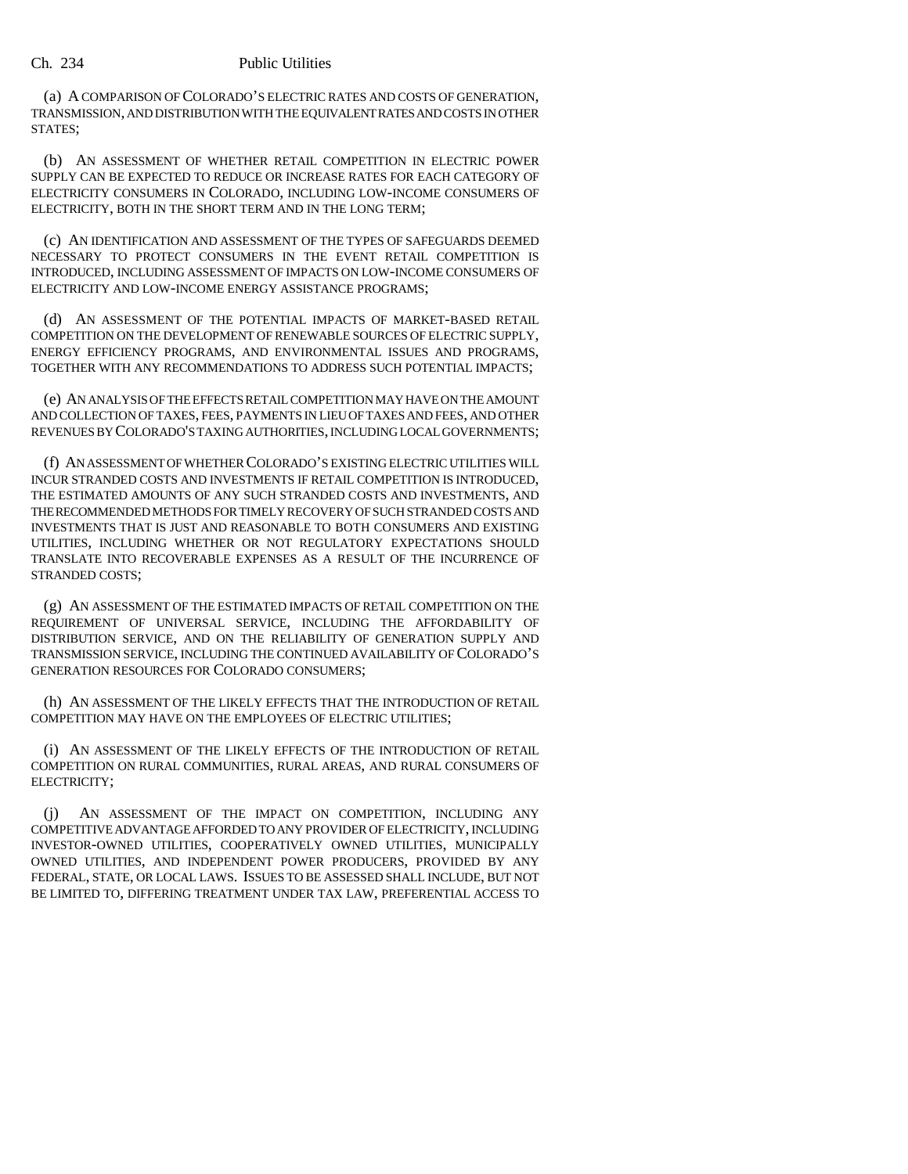## Ch. 234 Public Utilities

(a) A COMPARISON OF COLORADO'S ELECTRIC RATES AND COSTS OF GENERATION, TRANSMISSION, AND DISTRIBUTION WITH THE EQUIVALENT RATES AND COSTS IN OTHER STATES;

(b) AN ASSESSMENT OF WHETHER RETAIL COMPETITION IN ELECTRIC POWER SUPPLY CAN BE EXPECTED TO REDUCE OR INCREASE RATES FOR EACH CATEGORY OF ELECTRICITY CONSUMERS IN COLORADO, INCLUDING LOW-INCOME CONSUMERS OF ELECTRICITY, BOTH IN THE SHORT TERM AND IN THE LONG TERM;

(c) AN IDENTIFICATION AND ASSESSMENT OF THE TYPES OF SAFEGUARDS DEEMED NECESSARY TO PROTECT CONSUMERS IN THE EVENT RETAIL COMPETITION IS INTRODUCED, INCLUDING ASSESSMENT OF IMPACTS ON LOW-INCOME CONSUMERS OF ELECTRICITY AND LOW-INCOME ENERGY ASSISTANCE PROGRAMS;

(d) AN ASSESSMENT OF THE POTENTIAL IMPACTS OF MARKET-BASED RETAIL COMPETITION ON THE DEVELOPMENT OF RENEWABLE SOURCES OF ELECTRIC SUPPLY, ENERGY EFFICIENCY PROGRAMS, AND ENVIRONMENTAL ISSUES AND PROGRAMS, TOGETHER WITH ANY RECOMMENDATIONS TO ADDRESS SUCH POTENTIAL IMPACTS;

(e) AN ANALYSIS OF THE EFFECTS RETAIL COMPETITION MAY HAVE ON THE AMOUNT AND COLLECTION OF TAXES, FEES, PAYMENTS IN LIEU OF TAXES AND FEES, AND OTHER REVENUES BY COLORADO'S TAXING AUTHORITIES, INCLUDING LOCAL GOVERNMENTS;

(f) AN ASSESSMENT OF WHETHER COLORADO'S EXISTING ELECTRIC UTILITIES WILL INCUR STRANDED COSTS AND INVESTMENTS IF RETAIL COMPETITION IS INTRODUCED, THE ESTIMATED AMOUNTS OF ANY SUCH STRANDED COSTS AND INVESTMENTS, AND THE RECOMMENDED METHODS FOR TIMELY RECOVERY OF SUCH STRANDED COSTS AND INVESTMENTS THAT IS JUST AND REASONABLE TO BOTH CONSUMERS AND EXISTING UTILITIES, INCLUDING WHETHER OR NOT REGULATORY EXPECTATIONS SHOULD TRANSLATE INTO RECOVERABLE EXPENSES AS A RESULT OF THE INCURRENCE OF STRANDED COSTS;

(g) AN ASSESSMENT OF THE ESTIMATED IMPACTS OF RETAIL COMPETITION ON THE REQUIREMENT OF UNIVERSAL SERVICE, INCLUDING THE AFFORDABILITY OF DISTRIBUTION SERVICE, AND ON THE RELIABILITY OF GENERATION SUPPLY AND TRANSMISSION SERVICE, INCLUDING THE CONTINUED AVAILABILITY OF COLORADO'S GENERATION RESOURCES FOR COLORADO CONSUMERS;

(h) AN ASSESSMENT OF THE LIKELY EFFECTS THAT THE INTRODUCTION OF RETAIL COMPETITION MAY HAVE ON THE EMPLOYEES OF ELECTRIC UTILITIES;

(i) AN ASSESSMENT OF THE LIKELY EFFECTS OF THE INTRODUCTION OF RETAIL COMPETITION ON RURAL COMMUNITIES, RURAL AREAS, AND RURAL CONSUMERS OF ELECTRICITY;

AN ASSESSMENT OF THE IMPACT ON COMPETITION, INCLUDING ANY COMPETITIVE ADVANTAGE AFFORDED TO ANY PROVIDER OF ELECTRICITY, INCLUDING INVESTOR-OWNED UTILITIES, COOPERATIVELY OWNED UTILITIES, MUNICIPALLY OWNED UTILITIES, AND INDEPENDENT POWER PRODUCERS, PROVIDED BY ANY FEDERAL, STATE, OR LOCAL LAWS. ISSUES TO BE ASSESSED SHALL INCLUDE, BUT NOT BE LIMITED TO, DIFFERING TREATMENT UNDER TAX LAW, PREFERENTIAL ACCESS TO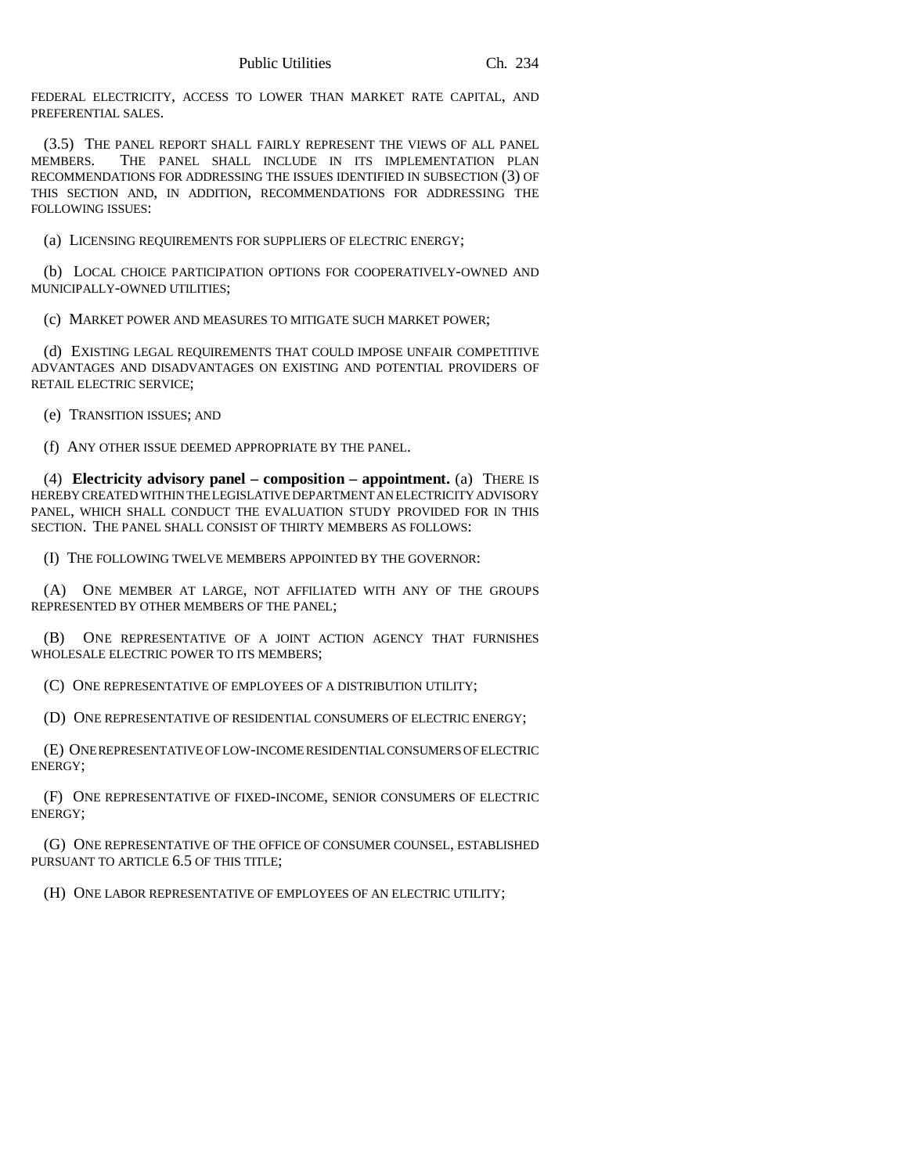FEDERAL ELECTRICITY, ACCESS TO LOWER THAN MARKET RATE CAPITAL, AND PREFERENTIAL SALES.

(3.5) THE PANEL REPORT SHALL FAIRLY REPRESENT THE VIEWS OF ALL PANEL MEMBERS. THE PANEL SHALL INCLUDE IN ITS IMPLEMENTATION PLAN RECOMMENDATIONS FOR ADDRESSING THE ISSUES IDENTIFIED IN SUBSECTION (3) OF THIS SECTION AND, IN ADDITION, RECOMMENDATIONS FOR ADDRESSING THE FOLLOWING ISSUES:

(a) LICENSING REQUIREMENTS FOR SUPPLIERS OF ELECTRIC ENERGY;

(b) LOCAL CHOICE PARTICIPATION OPTIONS FOR COOPERATIVELY-OWNED AND MUNICIPALLY-OWNED UTILITIES;

(c) MARKET POWER AND MEASURES TO MITIGATE SUCH MARKET POWER;

(d) EXISTING LEGAL REQUIREMENTS THAT COULD IMPOSE UNFAIR COMPETITIVE ADVANTAGES AND DISADVANTAGES ON EXISTING AND POTENTIAL PROVIDERS OF RETAIL ELECTRIC SERVICE;

(e) TRANSITION ISSUES; AND

(f) ANY OTHER ISSUE DEEMED APPROPRIATE BY THE PANEL.

(4) **Electricity advisory panel – composition – appointment.** (a) THERE IS HEREBY CREATED WITHIN THE LEGISLATIVE DEPARTMENT AN ELECTRICITY ADVISORY PANEL, WHICH SHALL CONDUCT THE EVALUATION STUDY PROVIDED FOR IN THIS SECTION. THE PANEL SHALL CONSIST OF THIRTY MEMBERS AS FOLLOWS:

(I) THE FOLLOWING TWELVE MEMBERS APPOINTED BY THE GOVERNOR:

(A) ONE MEMBER AT LARGE, NOT AFFILIATED WITH ANY OF THE GROUPS REPRESENTED BY OTHER MEMBERS OF THE PANEL;

(B) ONE REPRESENTATIVE OF A JOINT ACTION AGENCY THAT FURNISHES WHOLESALE ELECTRIC POWER TO ITS MEMBERS;

(C) ONE REPRESENTATIVE OF EMPLOYEES OF A DISTRIBUTION UTILITY;

(D) ONE REPRESENTATIVE OF RESIDENTIAL CONSUMERS OF ELECTRIC ENERGY;

(E) ONE REPRESENTATIVE OF LOW-INCOME RESIDENTIAL CONSUMERS OF ELECTRIC ENERGY;

(F) ONE REPRESENTATIVE OF FIXED-INCOME, SENIOR CONSUMERS OF ELECTRIC ENERGY;

(G) ONE REPRESENTATIVE OF THE OFFICE OF CONSUMER COUNSEL, ESTABLISHED PURSUANT TO ARTICLE 6.5 OF THIS TITLE;

(H) ONE LABOR REPRESENTATIVE OF EMPLOYEES OF AN ELECTRIC UTILITY;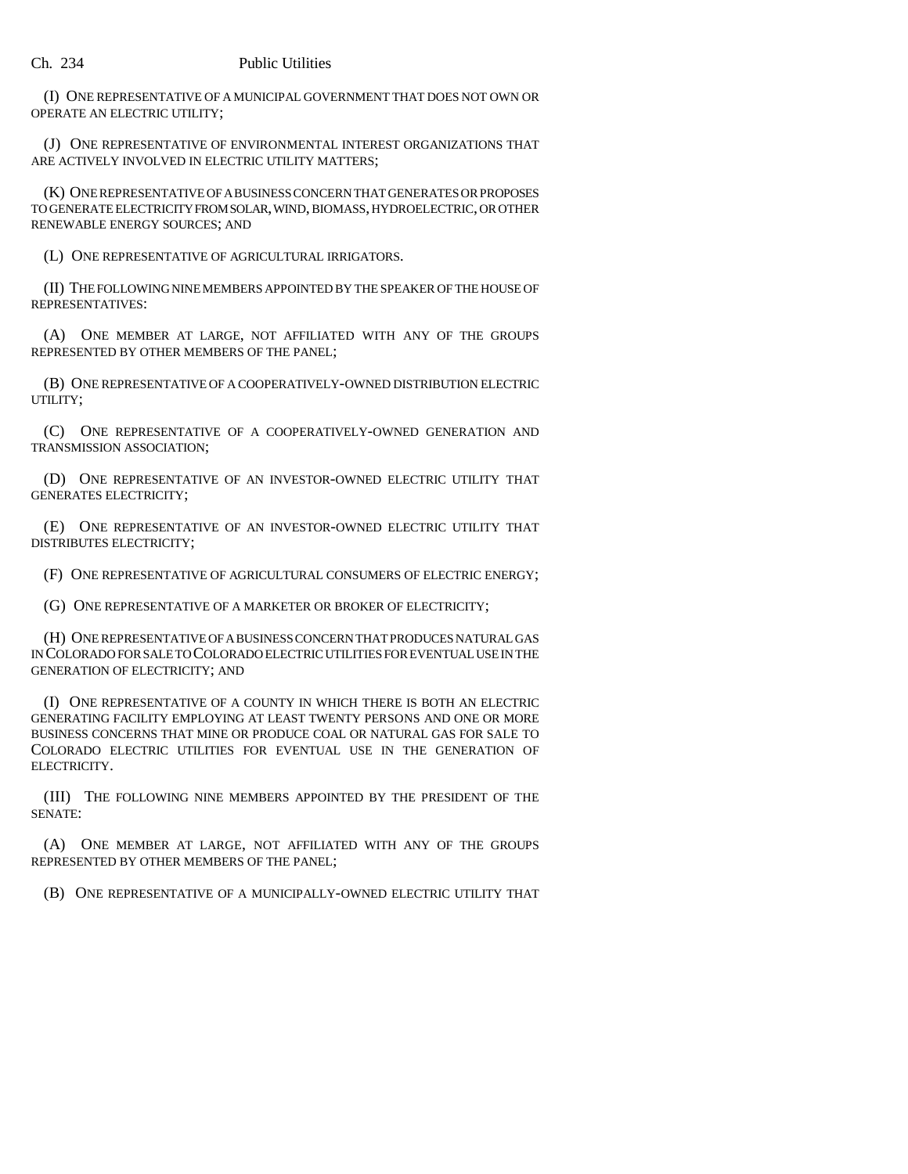(I) ONE REPRESENTATIVE OF A MUNICIPAL GOVERNMENT THAT DOES NOT OWN OR OPERATE AN ELECTRIC UTILITY;

(J) ONE REPRESENTATIVE OF ENVIRONMENTAL INTEREST ORGANIZATIONS THAT ARE ACTIVELY INVOLVED IN ELECTRIC UTILITY MATTERS;

(K) ONE REPRESENTATIVE OF A BUSINESS CONCERN THAT GENERATES OR PROPOSES TO GENERATE ELECTRICITY FROM SOLAR, WIND, BIOMASS, HYDROELECTRIC, OR OTHER RENEWABLE ENERGY SOURCES; AND

(L) ONE REPRESENTATIVE OF AGRICULTURAL IRRIGATORS.

(II) THE FOLLOWING NINE MEMBERS APPOINTED BY THE SPEAKER OF THE HOUSE OF REPRESENTATIVES:

(A) ONE MEMBER AT LARGE, NOT AFFILIATED WITH ANY OF THE GROUPS REPRESENTED BY OTHER MEMBERS OF THE PANEL;

(B) ONE REPRESENTATIVE OF A COOPERATIVELY-OWNED DISTRIBUTION ELECTRIC UTILITY;

(C) ONE REPRESENTATIVE OF A COOPERATIVELY-OWNED GENERATION AND TRANSMISSION ASSOCIATION;

(D) ONE REPRESENTATIVE OF AN INVESTOR-OWNED ELECTRIC UTILITY THAT GENERATES ELECTRICITY;

(E) ONE REPRESENTATIVE OF AN INVESTOR-OWNED ELECTRIC UTILITY THAT DISTRIBUTES ELECTRICITY;

(F) ONE REPRESENTATIVE OF AGRICULTURAL CONSUMERS OF ELECTRIC ENERGY;

(G) ONE REPRESENTATIVE OF A MARKETER OR BROKER OF ELECTRICITY;

(H) ONE REPRESENTATIVE OF A BUSINESS CONCERN THAT PRODUCES NATURAL GAS IN COLORADO FOR SALE TO COLORADO ELECTRIC UTILITIES FOR EVENTUAL USE IN THE GENERATION OF ELECTRICITY; AND

(I) ONE REPRESENTATIVE OF A COUNTY IN WHICH THERE IS BOTH AN ELECTRIC GENERATING FACILITY EMPLOYING AT LEAST TWENTY PERSONS AND ONE OR MORE BUSINESS CONCERNS THAT MINE OR PRODUCE COAL OR NATURAL GAS FOR SALE TO COLORADO ELECTRIC UTILITIES FOR EVENTUAL USE IN THE GENERATION OF ELECTRICITY.

(III) THE FOLLOWING NINE MEMBERS APPOINTED BY THE PRESIDENT OF THE SENATE:

(A) ONE MEMBER AT LARGE, NOT AFFILIATED WITH ANY OF THE GROUPS REPRESENTED BY OTHER MEMBERS OF THE PANEL;

(B) ONE REPRESENTATIVE OF A MUNICIPALLY-OWNED ELECTRIC UTILITY THAT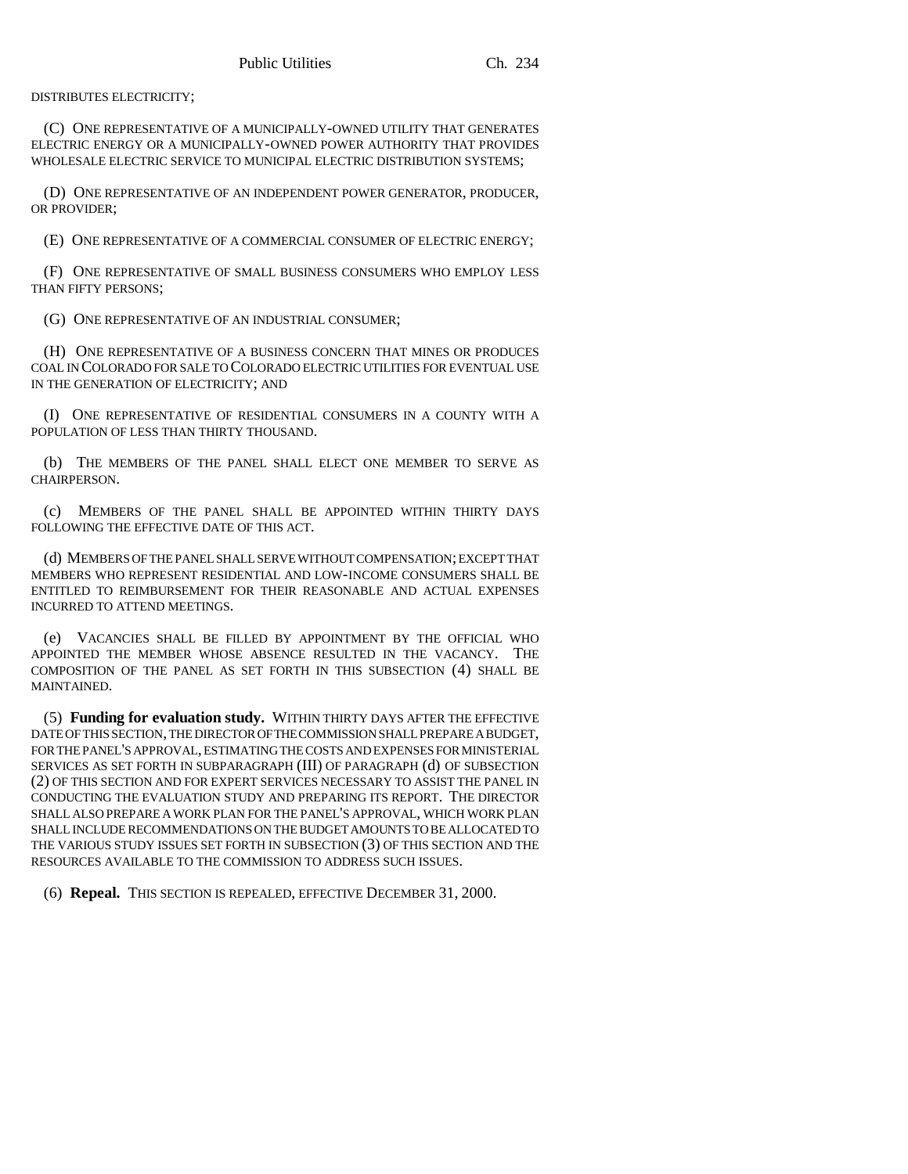DISTRIBUTES ELECTRICITY;

(C) ONE REPRESENTATIVE OF A MUNICIPALLY-OWNED UTILITY THAT GENERATES ELECTRIC ENERGY OR A MUNICIPALLY-OWNED POWER AUTHORITY THAT PROVIDES WHOLESALE ELECTRIC SERVICE TO MUNICIPAL ELECTRIC DISTRIBUTION SYSTEMS;

(D) ONE REPRESENTATIVE OF AN INDEPENDENT POWER GENERATOR, PRODUCER, OR PROVIDER;

(E) ONE REPRESENTATIVE OF A COMMERCIAL CONSUMER OF ELECTRIC ENERGY;

(F) ONE REPRESENTATIVE OF SMALL BUSINESS CONSUMERS WHO EMPLOY LESS THAN FIFTY PERSONS;

(G) ONE REPRESENTATIVE OF AN INDUSTRIAL CONSUMER;

(H) ONE REPRESENTATIVE OF A BUSINESS CONCERN THAT MINES OR PRODUCES COAL IN COLORADO FOR SALE TO COLORADO ELECTRIC UTILITIES FOR EVENTUAL USE IN THE GENERATION OF ELECTRICITY; AND

(I) ONE REPRESENTATIVE OF RESIDENTIAL CONSUMERS IN A COUNTY WITH A POPULATION OF LESS THAN THIRTY THOUSAND.

(b) THE MEMBERS OF THE PANEL SHALL ELECT ONE MEMBER TO SERVE AS CHAIRPERSON.

(c) MEMBERS OF THE PANEL SHALL BE APPOINTED WITHIN THIRTY DAYS FOLLOWING THE EFFECTIVE DATE OF THIS ACT.

(d) MEMBERS OF THE PANEL SHALL SERVE WITHOUT COMPENSATION; EXCEPT THAT MEMBERS WHO REPRESENT RESIDENTIAL AND LOW-INCOME CONSUMERS SHALL BE ENTITLED TO REIMBURSEMENT FOR THEIR REASONABLE AND ACTUAL EXPENSES INCURRED TO ATTEND MEETINGS.

(e) VACANCIES SHALL BE FILLED BY APPOINTMENT BY THE OFFICIAL WHO APPOINTED THE MEMBER WHOSE ABSENCE RESULTED IN THE VACANCY. THE COMPOSITION OF THE PANEL AS SET FORTH IN THIS SUBSECTION (4) SHALL BE MAINTAINED.

(5) **Funding for evaluation study.** WITHIN THIRTY DAYS AFTER THE EFFECTIVE DATE OF THIS SECTION, THE DIRECTOR OF THE COMMISSION SHALL PREPARE A BUDGET, FOR THE PANEL'S APPROVAL, ESTIMATING THE COSTS AND EXPENSES FOR MINISTERIAL SERVICES AS SET FORTH IN SUBPARAGRAPH (III) OF PARAGRAPH (d) OF SUBSECTION (2) OF THIS SECTION AND FOR EXPERT SERVICES NECESSARY TO ASSIST THE PANEL IN CONDUCTING THE EVALUATION STUDY AND PREPARING ITS REPORT. THE DIRECTOR SHALL ALSO PREPARE A WORK PLAN FOR THE PANEL'S APPROVAL, WHICH WORK PLAN SHALL INCLUDE RECOMMENDATIONS ON THE BUDGET AMOUNTS TO BE ALLOCATED TO THE VARIOUS STUDY ISSUES SET FORTH IN SUBSECTION (3) OF THIS SECTION AND THE RESOURCES AVAILABLE TO THE COMMISSION TO ADDRESS SUCH ISSUES.

(6) **Repeal.** THIS SECTION IS REPEALED, EFFECTIVE DECEMBER 31, 2000.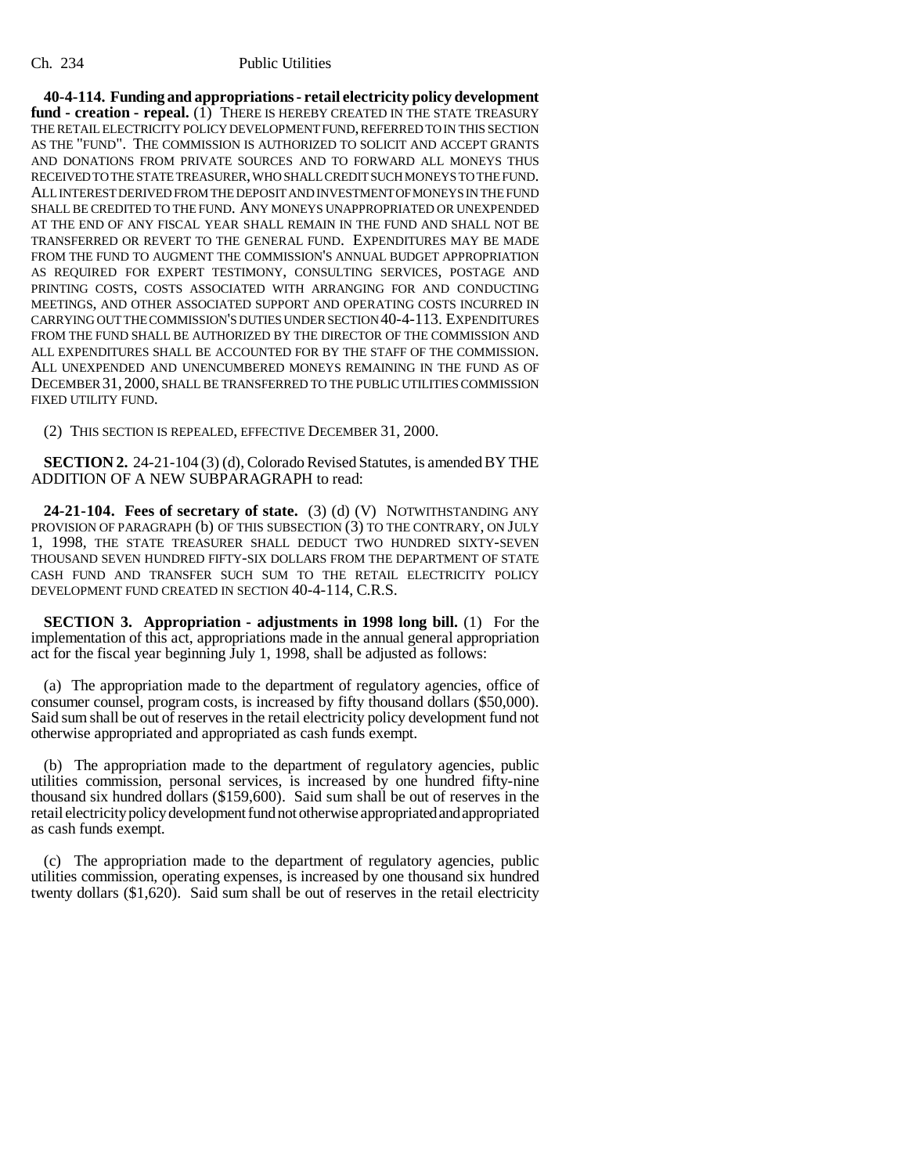## Ch. 234 Public Utilities

**40-4-114. Funding and appropriations - retail electricity policy development** fund - creation - repeal. (1) THERE IS HEREBY CREATED IN THE STATE TREASURY THE RETAIL ELECTRICITY POLICY DEVELOPMENT FUND, REFERRED TO IN THIS SECTION AS THE "FUND". THE COMMISSION IS AUTHORIZED TO SOLICIT AND ACCEPT GRANTS AND DONATIONS FROM PRIVATE SOURCES AND TO FORWARD ALL MONEYS THUS RECEIVED TO THE STATE TREASURER, WHO SHALL CREDIT SUCH MONEYS TO THE FUND. ALL INTEREST DERIVED FROM THE DEPOSIT AND INVESTMENT OF MONEYS IN THE FUND SHALL BE CREDITED TO THE FUND. ANY MONEYS UNAPPROPRIATED OR UNEXPENDED AT THE END OF ANY FISCAL YEAR SHALL REMAIN IN THE FUND AND SHALL NOT BE TRANSFERRED OR REVERT TO THE GENERAL FUND. EXPENDITURES MAY BE MADE FROM THE FUND TO AUGMENT THE COMMISSION'S ANNUAL BUDGET APPROPRIATION AS REQUIRED FOR EXPERT TESTIMONY, CONSULTING SERVICES, POSTAGE AND PRINTING COSTS, COSTS ASSOCIATED WITH ARRANGING FOR AND CONDUCTING MEETINGS, AND OTHER ASSOCIATED SUPPORT AND OPERATING COSTS INCURRED IN CARRYING OUT THE COMMISSION'S DUTIES UNDER SECTION 40-4-113. EXPENDITURES FROM THE FUND SHALL BE AUTHORIZED BY THE DIRECTOR OF THE COMMISSION AND ALL EXPENDITURES SHALL BE ACCOUNTED FOR BY THE STAFF OF THE COMMISSION. ALL UNEXPENDED AND UNENCUMBERED MONEYS REMAINING IN THE FUND AS OF DECEMBER 31, 2000, SHALL BE TRANSFERRED TO THE PUBLIC UTILITIES COMMISSION FIXED UTILITY FUND.

(2) THIS SECTION IS REPEALED, EFFECTIVE DECEMBER 31, 2000.

**SECTION 2.** 24-21-104 (3) (d), Colorado Revised Statutes, is amended BY THE ADDITION OF A NEW SUBPARAGRAPH to read:

**24-21-104. Fees of secretary of state.** (3) (d) (V) NOTWITHSTANDING ANY PROVISION OF PARAGRAPH (b) OF THIS SUBSECTION (3) TO THE CONTRARY, ON JULY 1, 1998, THE STATE TREASURER SHALL DEDUCT TWO HUNDRED SIXTY-SEVEN THOUSAND SEVEN HUNDRED FIFTY-SIX DOLLARS FROM THE DEPARTMENT OF STATE CASH FUND AND TRANSFER SUCH SUM TO THE RETAIL ELECTRICITY POLICY DEVELOPMENT FUND CREATED IN SECTION 40-4-114, C.R.S.

**SECTION 3. Appropriation - adjustments in 1998 long bill.** (1) For the implementation of this act, appropriations made in the annual general appropriation act for the fiscal year beginning July 1, 1998, shall be adjusted as follows:

(a) The appropriation made to the department of regulatory agencies, office of consumer counsel, program costs, is increased by fifty thousand dollars (\$50,000). Said sum shall be out of reserves in the retail electricity policy development fund not otherwise appropriated and appropriated as cash funds exempt.

(b) The appropriation made to the department of regulatory agencies, public utilities commission, personal services, is increased by one hundred fifty-nine thousand six hundred dollars (\$159,600). Said sum shall be out of reserves in the retail electricity policy development fund not otherwise appropriated and appropriated as cash funds exempt.

(c) The appropriation made to the department of regulatory agencies, public utilities commission, operating expenses, is increased by one thousand six hundred twenty dollars (\$1,620). Said sum shall be out of reserves in the retail electricity